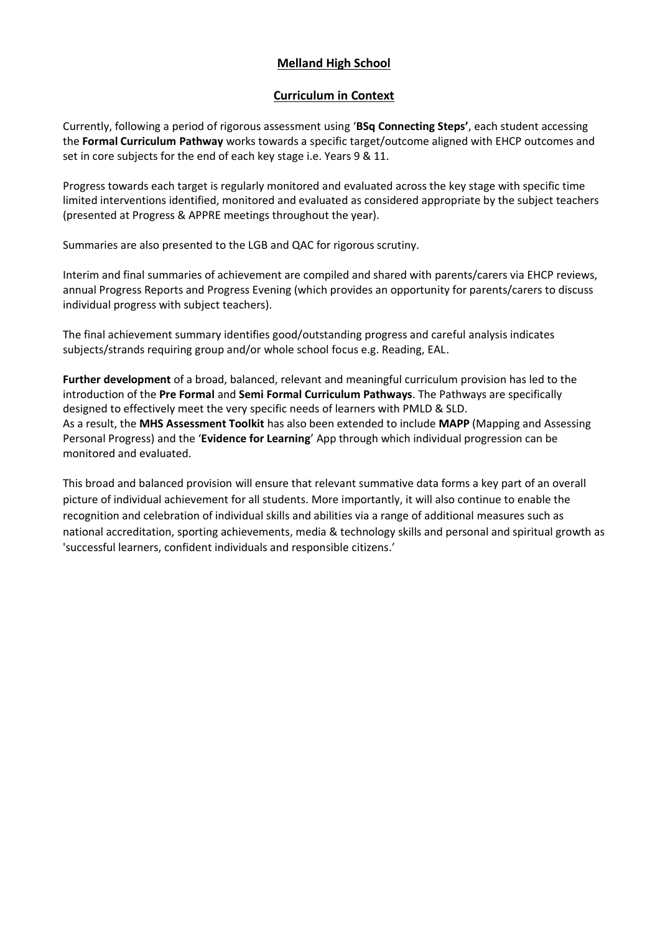# **Melland High School**

## **Curriculum in Context**

Currently, following a period of rigorous assessment using '**BSq Connecting Steps'**, each student accessing the **Formal Curriculum Pathway** works towards a specific target/outcome aligned with EHCP outcomes and set in core subjects for the end of each key stage i.e. Years 9 & 11.

Progress towards each target is regularly monitored and evaluated across the key stage with specific time limited interventions identified, monitored and evaluated as considered appropriate by the subject teachers (presented at Progress & APPRE meetings throughout the year).

Summaries are also presented to the LGB and QAC for rigorous scrutiny.

Interim and final summaries of achievement are compiled and shared with parents/carers via EHCP reviews, annual Progress Reports and Progress Evening (which provides an opportunity for parents/carers to discuss individual progress with subject teachers).

The final achievement summary identifies good/outstanding progress and careful analysis indicates subjects/strands requiring group and/or whole school focus e.g. Reading, EAL.

**Further development** of a broad, balanced, relevant and meaningful curriculum provision has led to the introduction of the **Pre Formal** and **Semi Formal Curriculum Pathways**. The Pathways are specifically designed to effectively meet the very specific needs of learners with PMLD & SLD. As a result, the **MHS Assessment Toolkit** has also been extended to include **MAPP** (Mapping and Assessing Personal Progress) and the '**Evidence for Learning**' App through which individual progression can be monitored and evaluated.

This broad and balanced provision will ensure that relevant summative data forms a key part of an overall picture of individual achievement for all students. More importantly, it will also continue to enable the recognition and celebration of individual skills and abilities via a range of additional measures such as national accreditation, sporting achievements, media & technology skills and personal and spiritual growth as 'successful learners, confident individuals and responsible citizens.'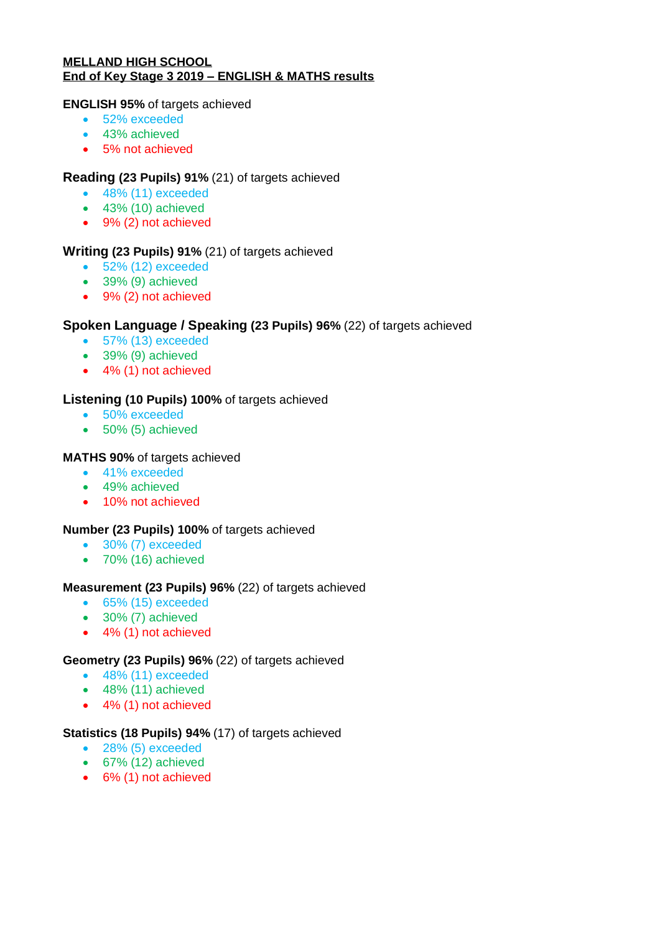#### **MELLAND HIGH SCHOOL End of Key Stage 3 2019 – ENGLISH & MATHS results**

#### **ENGLISH 95%** of targets achieved

- 52% exceeded
- 43% achieved
- 5% not achieved

# **Reading (23 Pupils) 91%** (21) of targets achieved

- 48% (11) exceeded
- 43% (10) achieved
- 9% (2) not achieved

## **Writing (23 Pupils) 91%** (21) of targets achieved

- 52% (12) exceeded
- 39% (9) achieved
- 9% (2) not achieved

# **Spoken Language / Speaking (23 Pupils) 96%** (22) of targets achieved

- 57% (13) exceeded
- 39% (9) achieved
- 4% (1) not achieved

# **Listening (10 Pupils) 100%** of targets achieved

- 50% exceeded
- 50% (5) achieved

### **MATHS 90%** of targets achieved

- 41% exceeded
- 49% achieved
- 10% not achieved

### **Number (23 Pupils) 100%** of targets achieved

- 30% (7) exceeded
- 70% (16) achieved

### **Measurement (23 Pupils) 96%** (22) of targets achieved

- 65% (15) exceeded
- 30% (7) achieved
- 4% (1) not achieved

## **Geometry (23 Pupils) 96%** (22) of targets achieved

- 48% (11) exceeded
- $\bullet$  48% (11) achieved
- 4% (1) not achieved

### **Statistics (18 Pupils) 94%** (17) of targets achieved

- 28% (5) exceeded
- 67% (12) achieved
- 6% (1) not achieved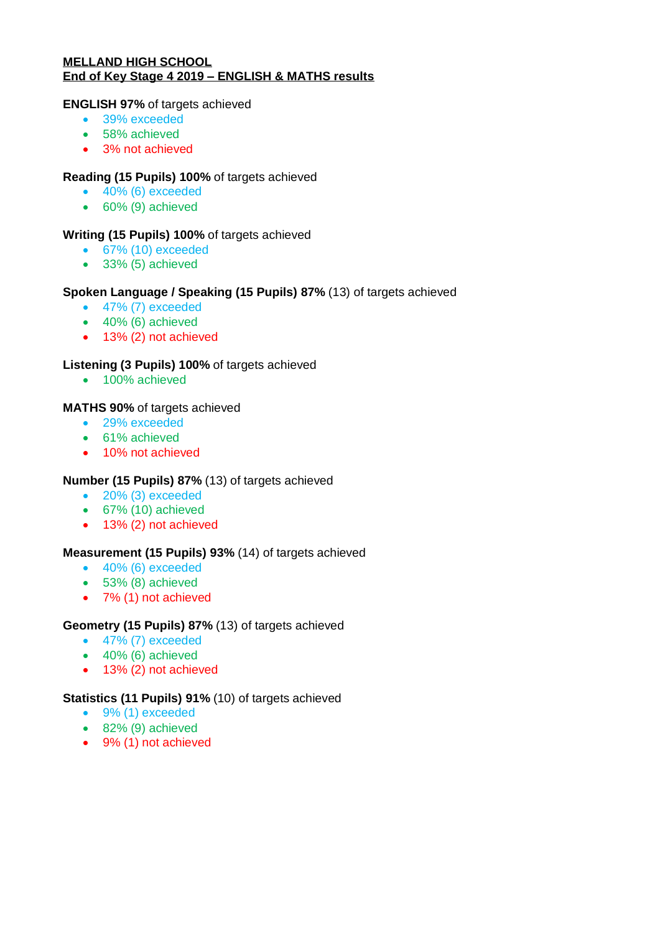#### **MELLAND HIGH SCHOOL End of Key Stage 4 2019 – ENGLISH & MATHS results**

#### **ENGLISH 97%** of targets achieved

- 39% exceeded
- 58% achieved
- 3% not achieved

## **Reading (15 Pupils) 100%** of targets achieved

- $\bullet$  40% (6) exceeded
- 60% (9) achieved

## **Writing (15 Pupils) 100%** of targets achieved

- 67% (10) exceeded
- 33% (5) achieved

## **Spoken Language / Speaking (15 Pupils) 87%** (13) of targets achieved

- 47% (7) exceeded
- $\bullet$  40% (6) achieved
- 13% (2) not achieved

## **Listening (3 Pupils) 100%** of targets achieved

• 100% achieved

### **MATHS 90%** of targets achieved

- 29% exceeded
- 61% achieved
- 10% not achieved

# **Number (15 Pupils) 87%** (13) of targets achieved

- 20% (3) exceeded
- 67% (10) achieved
- 13% (2) not achieved

### **Measurement (15 Pupils) 93%** (14) of targets achieved

- 40% (6) exceeded
- 53% (8) achieved
- 7% (1) not achieved

### **Geometry (15 Pupils) 87%** (13) of targets achieved

- 47% (7) exceeded
- 40% (6) achieved
- 13% (2) not achieved

## **Statistics (11 Pupils) 91%** (10) of targets achieved

- 9% (1) exceeded
- $\bullet$  82% (9) achieved
- 9% (1) not achieved